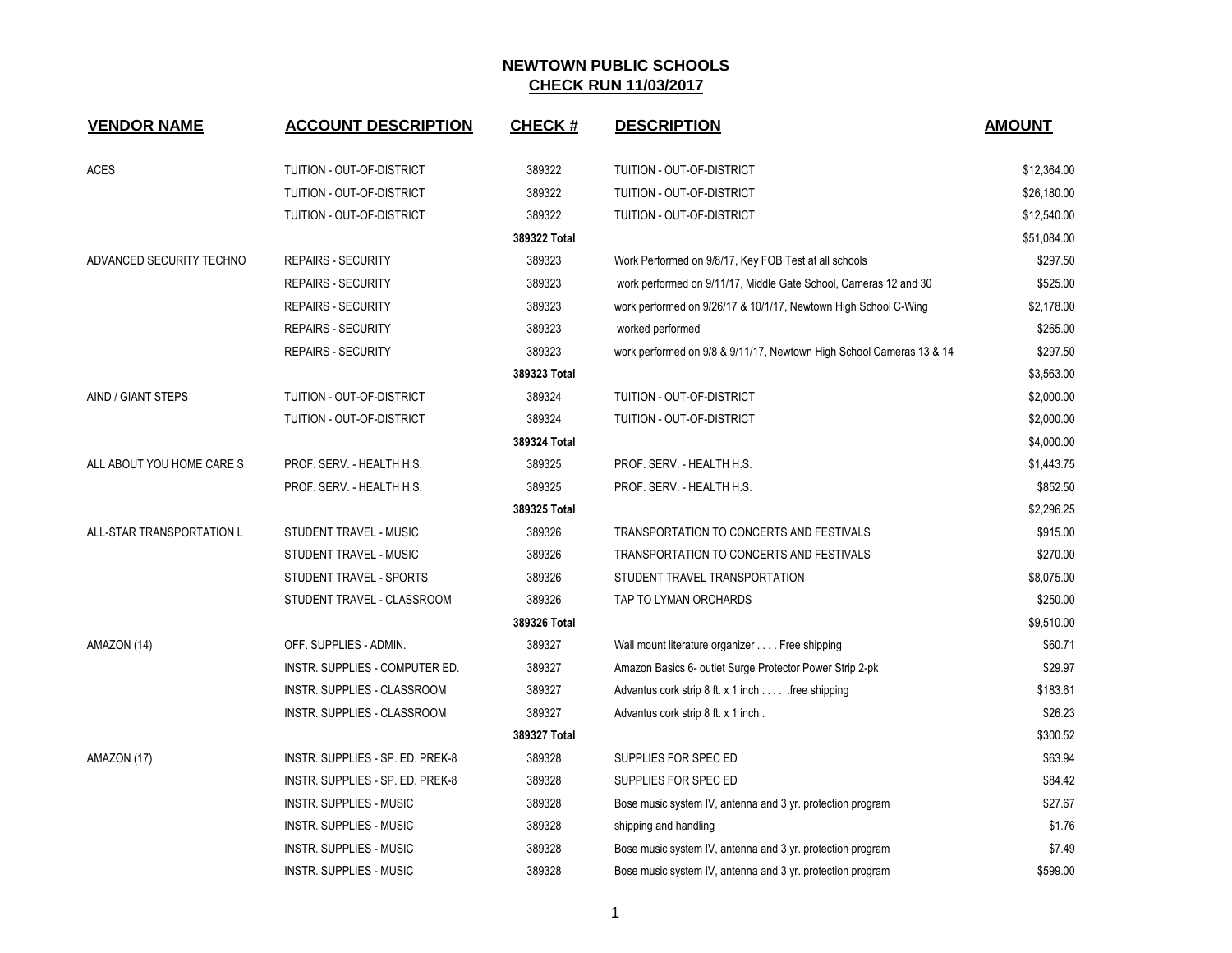| <b>VENDOR NAME</b>        | <b>ACCOUNT DESCRIPTION</b>       | <b>CHECK#</b> | <b>DESCRIPTION</b>                                                   | <b>AMOUNT</b> |
|---------------------------|----------------------------------|---------------|----------------------------------------------------------------------|---------------|
|                           |                                  |               |                                                                      |               |
| <b>ACES</b>               | TUITION - OUT-OF-DISTRICT        | 389322        | TUITION - OUT-OF-DISTRICT                                            | \$12,364.00   |
|                           | TUITION - OUT-OF-DISTRICT        | 389322        | TUITION - OUT-OF-DISTRICT                                            | \$26,180.00   |
|                           | TUITION - OUT-OF-DISTRICT        | 389322        | TUITION - OUT-OF-DISTRICT                                            | \$12,540.00   |
|                           |                                  | 389322 Total  |                                                                      | \$51,084.00   |
| ADVANCED SECURITY TECHNO  | <b>REPAIRS - SECURITY</b>        | 389323        | Work Performed on 9/8/17, Key FOB Test at all schools                | \$297.50      |
|                           | <b>REPAIRS - SECURITY</b>        | 389323        | work performed on 9/11/17, Middle Gate School, Cameras 12 and 30     | \$525.00      |
|                           | <b>REPAIRS - SECURITY</b>        | 389323        | work performed on 9/26/17 & 10/1/17, Newtown High School C-Wing      | \$2,178.00    |
|                           | <b>REPAIRS - SECURITY</b>        | 389323        | worked performed                                                     | \$265.00      |
|                           | <b>REPAIRS - SECURITY</b>        | 389323        | work performed on 9/8 & 9/11/17, Newtown High School Cameras 13 & 14 | \$297.50      |
|                           |                                  | 389323 Total  |                                                                      | \$3,563.00    |
| AIND / GIANT STEPS        | TUITION - OUT-OF-DISTRICT        | 389324        | TUITION - OUT-OF-DISTRICT                                            | \$2,000.00    |
|                           | TUITION - OUT-OF-DISTRICT        | 389324        | TUITION - OUT-OF-DISTRICT                                            | \$2,000.00    |
|                           |                                  | 389324 Total  |                                                                      | \$4,000.00    |
| ALL ABOUT YOU HOME CARE S | PROF. SERV. - HEALTH H.S.        | 389325        | PROF. SERV. - HEALTH H.S.                                            | \$1,443.75    |
|                           | PROF. SERV. - HEALTH H.S.        | 389325        | PROF. SERV. - HEALTH H.S.                                            | \$852.50      |
|                           |                                  | 389325 Total  |                                                                      | \$2,296.25    |
| ALL-STAR TRANSPORTATION L | STUDENT TRAVEL - MUSIC           | 389326        | TRANSPORTATION TO CONCERTS AND FESTIVALS                             | \$915.00      |
|                           | STUDENT TRAVEL - MUSIC           | 389326        | TRANSPORTATION TO CONCERTS AND FESTIVALS                             | \$270.00      |
|                           | STUDENT TRAVEL - SPORTS          | 389326        | STUDENT TRAVEL TRANSPORTATION                                        | \$8,075.00    |
|                           | STUDENT TRAVEL - CLASSROOM       | 389326        | TAP TO LYMAN ORCHARDS                                                | \$250.00      |
|                           |                                  | 389326 Total  |                                                                      | \$9,510.00    |
| AMAZON (14)               | OFF. SUPPLIES - ADMIN.           | 389327        | Wall mount literature organizer Free shipping                        | \$60.71       |
|                           | INSTR. SUPPLIES - COMPUTER ED.   | 389327        | Amazon Basics 6- outlet Surge Protector Power Strip 2-pk             | \$29.97       |
|                           | INSTR. SUPPLIES - CLASSROOM      | 389327        | Advantus cork strip 8 ft. x 1 inch free shipping                     | \$183.61      |
|                           | INSTR. SUPPLIES - CLASSROOM      | 389327        | Advantus cork strip 8 ft. x 1 inch.                                  | \$26.23       |
|                           |                                  | 389327 Total  |                                                                      | \$300.52      |
| AMAZON (17)               | INSTR. SUPPLIES - SP. ED. PREK-8 | 389328        | SUPPLIES FOR SPEC ED                                                 | \$63.94       |
|                           | INSTR. SUPPLIES - SP. ED. PREK-8 | 389328        | SUPPLIES FOR SPEC ED                                                 | \$84.42       |
|                           | <b>INSTR. SUPPLIES - MUSIC</b>   | 389328        | Bose music system IV, antenna and 3 yr. protection program           | \$27.67       |
|                           | <b>INSTR. SUPPLIES - MUSIC</b>   | 389328        | shipping and handling                                                | \$1.76        |
|                           | <b>INSTR. SUPPLIES - MUSIC</b>   | 389328        | Bose music system IV, antenna and 3 yr. protection program           | \$7.49        |
|                           | <b>INSTR. SUPPLIES - MUSIC</b>   | 389328        | Bose music system IV, antenna and 3 yr. protection program           | \$599.00      |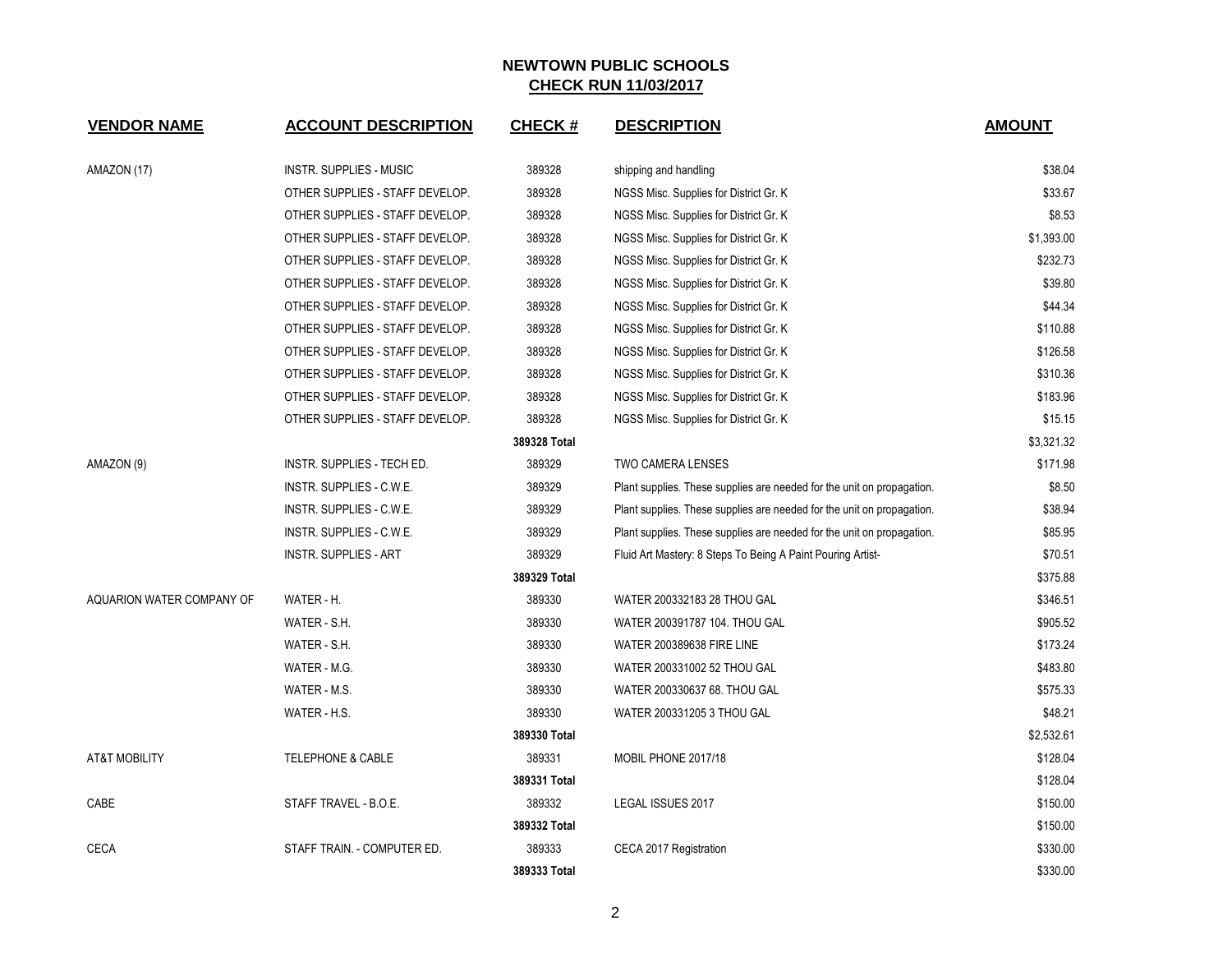| <b>VENDOR NAME</b>        | <b>ACCOUNT DESCRIPTION</b>      | <b>CHECK#</b> | <b>DESCRIPTION</b>                                                     | <b>AMOUNT</b> |
|---------------------------|---------------------------------|---------------|------------------------------------------------------------------------|---------------|
| AMAZON (17)               | <b>INSTR. SUPPLIES - MUSIC</b>  | 389328        | shipping and handling                                                  | \$38.04       |
|                           | OTHER SUPPLIES - STAFF DEVELOP. | 389328        | NGSS Misc. Supplies for District Gr. K                                 | \$33.67       |
|                           | OTHER SUPPLIES - STAFF DEVELOP. | 389328        | NGSS Misc. Supplies for District Gr. K.                                | \$8.53        |
|                           | OTHER SUPPLIES - STAFF DEVELOP. | 389328        | NGSS Misc. Supplies for District Gr. K                                 | \$1,393.00    |
|                           | OTHER SUPPLIES - STAFF DEVELOP. | 389328        | NGSS Misc. Supplies for District Gr. K                                 | \$232.73      |
|                           | OTHER SUPPLIES - STAFF DEVELOP. | 389328        | NGSS Misc. Supplies for District Gr. K.                                | \$39.80       |
|                           | OTHER SUPPLIES - STAFF DEVELOP. | 389328        | NGSS Misc. Supplies for District Gr. K.                                | \$44.34       |
|                           | OTHER SUPPLIES - STAFF DEVELOP. | 389328        | NGSS Misc. Supplies for District Gr. K                                 | \$110.88      |
|                           | OTHER SUPPLIES - STAFF DEVELOP. | 389328        | NGSS Misc. Supplies for District Gr. K                                 | \$126.58      |
|                           | OTHER SUPPLIES - STAFF DEVELOP. | 389328        | NGSS Misc. Supplies for District Gr. K.                                | \$310.36      |
|                           | OTHER SUPPLIES - STAFF DEVELOP. | 389328        | NGSS Misc. Supplies for District Gr. K.                                | \$183.96      |
|                           | OTHER SUPPLIES - STAFF DEVELOP. | 389328        | NGSS Misc. Supplies for District Gr. K                                 | \$15.15       |
|                           |                                 | 389328 Total  |                                                                        | \$3,321.32    |
| AMAZON (9)                | INSTR. SUPPLIES - TECH ED.      | 389329        | <b>TWO CAMERA LENSES</b>                                               | \$171.98      |
|                           | INSTR. SUPPLIES - C.W.E.        | 389329        | Plant supplies. These supplies are needed for the unit on propagation. | \$8.50        |
|                           | INSTR. SUPPLIES - C.W.E.        | 389329        | Plant supplies. These supplies are needed for the unit on propagation. | \$38.94       |
|                           | INSTR. SUPPLIES - C.W.E.        | 389329        | Plant supplies. These supplies are needed for the unit on propagation. | \$85.95       |
|                           | <b>INSTR. SUPPLIES - ART</b>    | 389329        | Fluid Art Mastery: 8 Steps To Being A Paint Pouring Artist-            | \$70.51       |
|                           |                                 | 389329 Total  |                                                                        | \$375.88      |
| AQUARION WATER COMPANY OF | WATER - H.                      | 389330        | WATER 200332183 28 THOU GAL                                            | \$346.51      |
|                           | WATER - S.H.                    | 389330        | WATER 200391787 104. THOU GAL                                          | \$905.52      |
|                           | WATER - S.H.                    | 389330        | <b>WATER 200389638 FIRE LINE</b>                                       | \$173.24      |
|                           | WATER - M.G.                    | 389330        | WATER 200331002 52 THOU GAL                                            | \$483.80      |
|                           | WATER - M.S.                    | 389330        | WATER 200330637 68. THOU GAL                                           | \$575.33      |
|                           | WATER - H.S.                    | 389330        | WATER 200331205 3 THOU GAL                                             | \$48.21       |
|                           |                                 | 389330 Total  |                                                                        | \$2,532.61    |
| <b>AT&amp;T MOBILITY</b>  | TELEPHONE & CABLE               | 389331        | MOBIL PHONE 2017/18                                                    | \$128.04      |
|                           |                                 | 389331 Total  |                                                                        | \$128.04      |
| CABE                      | STAFF TRAVEL - B.O.E.           | 389332        | LEGAL ISSUES 2017                                                      | \$150.00      |
|                           |                                 | 389332 Total  |                                                                        | \$150.00      |
| <b>CECA</b>               | STAFF TRAIN. - COMPUTER ED.     | 389333        | CECA 2017 Registration                                                 | \$330.00      |
|                           |                                 | 389333 Total  |                                                                        | \$330.00      |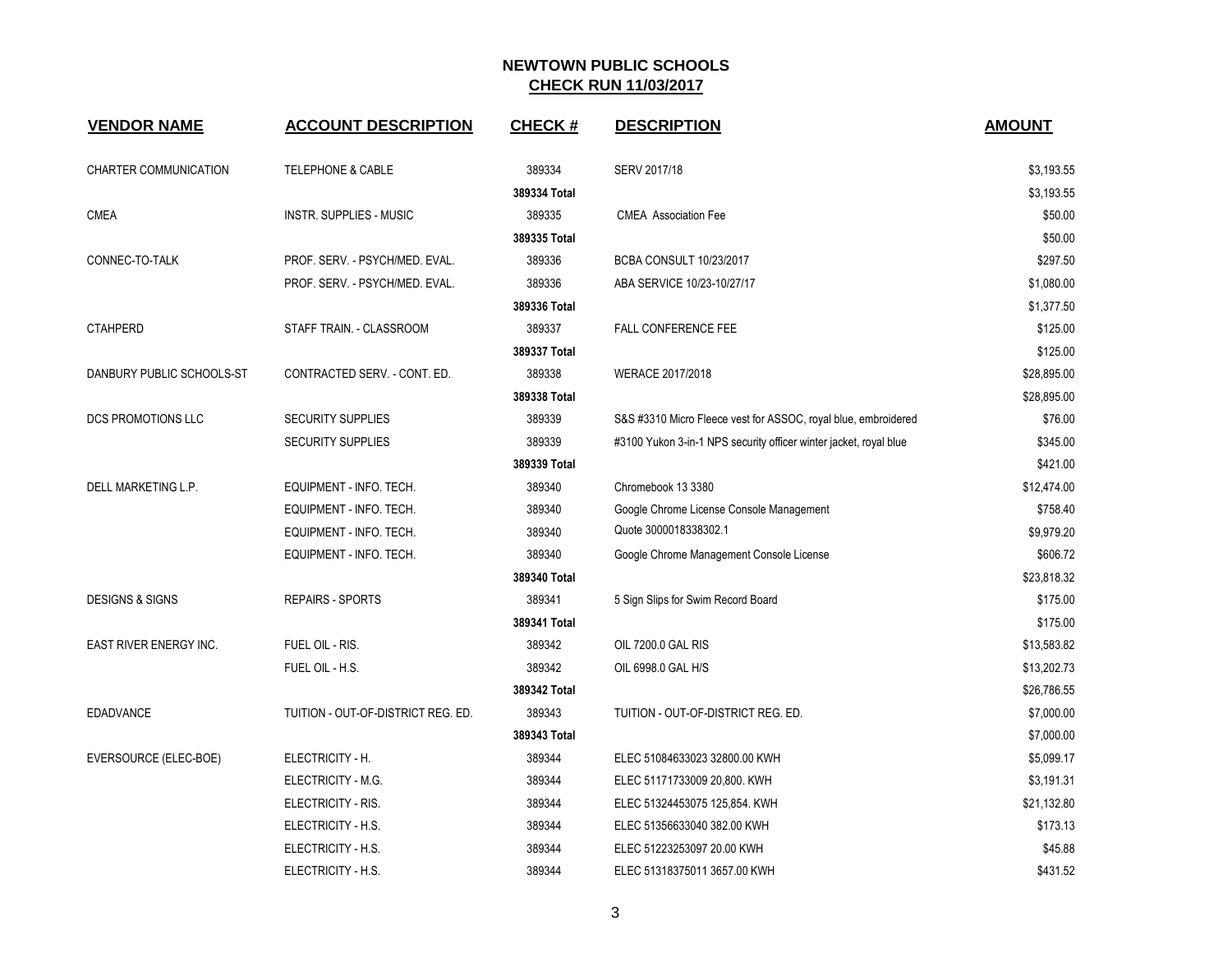| <b>VENDOR NAME</b>         | <b>ACCOUNT DESCRIPTION</b>         | <b>CHECK#</b> | <b>DESCRIPTION</b>                                                | <b>AMOUNT</b> |
|----------------------------|------------------------------------|---------------|-------------------------------------------------------------------|---------------|
| CHARTER COMMUNICATION      | <b>TELEPHONE &amp; CABLE</b>       | 389334        | SERV 2017/18                                                      | \$3,193.55    |
|                            |                                    | 389334 Total  |                                                                   | \$3,193.55    |
| <b>CMEA</b>                | <b>INSTR. SUPPLIES - MUSIC</b>     | 389335        | <b>CMEA</b> Association Fee                                       | \$50.00       |
|                            |                                    | 389335 Total  |                                                                   | \$50.00       |
| CONNEC-TO-TALK             | PROF. SERV. - PSYCH/MED. EVAL.     | 389336        | <b>BCBA CONSULT 10/23/2017</b>                                    | \$297.50      |
|                            | PROF. SERV. - PSYCH/MED. EVAL.     | 389336        | ABA SERVICE 10/23-10/27/17                                        | \$1,080.00    |
|                            |                                    | 389336 Total  |                                                                   | \$1,377.50    |
| <b>CTAHPERD</b>            | STAFF TRAIN. - CLASSROOM           | 389337        | FALL CONFERENCE FEE                                               | \$125.00      |
|                            |                                    | 389337 Total  |                                                                   | \$125.00      |
| DANBURY PUBLIC SCHOOLS-ST  | CONTRACTED SERV. - CONT. ED.       | 389338        | WERACE 2017/2018                                                  | \$28,895.00   |
|                            |                                    | 389338 Total  |                                                                   | \$28,895.00   |
| <b>DCS PROMOTIONS LLC</b>  | <b>SECURITY SUPPLIES</b>           | 389339        | S&S #3310 Micro Fleece vest for ASSOC, royal blue, embroidered    | \$76.00       |
|                            | <b>SECURITY SUPPLIES</b>           | 389339        | #3100 Yukon 3-in-1 NPS security officer winter jacket, royal blue | \$345.00      |
|                            |                                    | 389339 Total  |                                                                   | \$421.00      |
| DELL MARKETING L.P.        | EQUIPMENT - INFO. TECH.            | 389340        | Chromebook 13 3380                                                | \$12,474.00   |
|                            | EQUIPMENT - INFO. TECH.            | 389340        | Google Chrome License Console Management                          | \$758.40      |
|                            | EQUIPMENT - INFO. TECH.            | 389340        | Quote 3000018338302.1                                             | \$9,979.20    |
|                            | EQUIPMENT - INFO. TECH.            | 389340        | Google Chrome Management Console License                          | \$606.72      |
|                            |                                    | 389340 Total  |                                                                   | \$23,818.32   |
| <b>DESIGNS &amp; SIGNS</b> | <b>REPAIRS - SPORTS</b>            | 389341        | 5 Sign Slips for Swim Record Board                                | \$175.00      |
|                            |                                    | 389341 Total  |                                                                   | \$175.00      |
| EAST RIVER ENERGY INC.     | FUEL OIL - RIS.                    | 389342        | OIL 7200.0 GAL RIS                                                | \$13,583.82   |
|                            | FUEL OIL - H.S.                    | 389342        | OIL 6998.0 GAL H/S                                                | \$13,202.73   |
|                            |                                    | 389342 Total  |                                                                   | \$26,786.55   |
| <b>EDADVANCE</b>           | TUITION - OUT-OF-DISTRICT REG. ED. | 389343        | TUITION - OUT-OF-DISTRICT REG. ED.                                | \$7,000.00    |
|                            |                                    | 389343 Total  |                                                                   | \$7,000.00    |
| EVERSOURCE (ELEC-BOE)      | ELECTRICITY - H.                   | 389344        | ELEC 51084633023 32800.00 KWH                                     | \$5,099.17    |
|                            | ELECTRICITY - M.G.                 | 389344        | ELEC 51171733009 20,800. KWH                                      | \$3,191.31    |
|                            | ELECTRICITY - RIS.                 | 389344        | ELEC 51324453075 125,854. KWH                                     | \$21,132.80   |
|                            | ELECTRICITY - H.S.                 | 389344        | ELEC 51356633040 382.00 KWH                                       | \$173.13      |
|                            | ELECTRICITY - H.S.                 | 389344        | ELEC 51223253097 20.00 KWH                                        | \$45.88       |
|                            | ELECTRICITY - H.S.                 | 389344        | ELEC 51318375011 3657.00 KWH                                      | \$431.52      |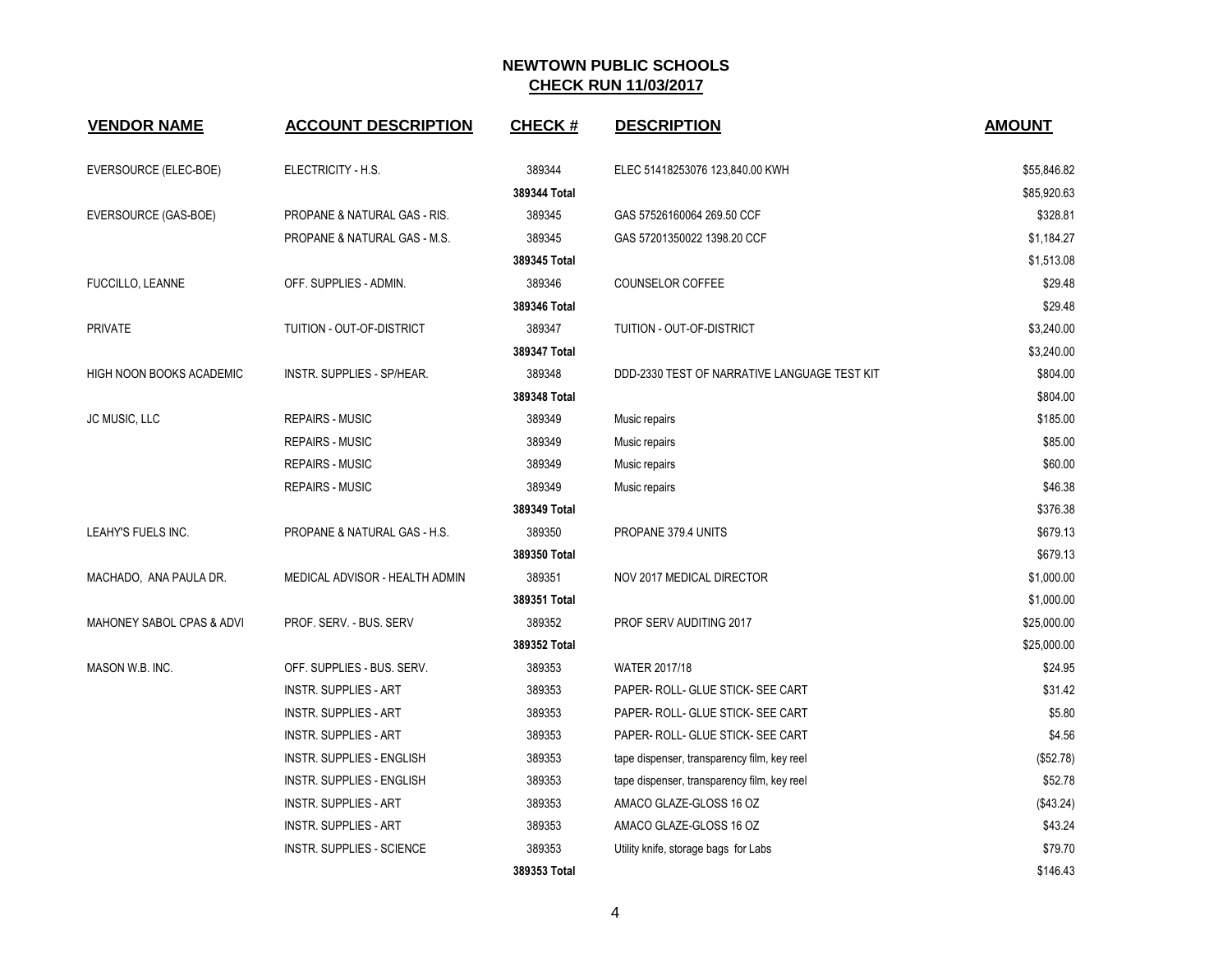| <b>VENDOR NAME</b>              | <b>ACCOUNT DESCRIPTION</b>       | <b>CHECK#</b> | <b>DESCRIPTION</b>                           | <b>AMOUNT</b> |
|---------------------------------|----------------------------------|---------------|----------------------------------------------|---------------|
| EVERSOURCE (ELEC-BOE)           | ELECTRICITY - H.S.               | 389344        | ELEC 51418253076 123,840.00 KWH              | \$55,846.82   |
|                                 |                                  | 389344 Total  |                                              | \$85,920.63   |
| EVERSOURCE (GAS-BOE)            | PROPANE & NATURAL GAS - RIS.     | 389345        | GAS 57526160064 269.50 CCF                   | \$328.81      |
|                                 | PROPANE & NATURAL GAS - M.S.     | 389345        | GAS 57201350022 1398.20 CCF                  | \$1,184.27    |
|                                 |                                  | 389345 Total  |                                              | \$1,513.08    |
| FUCCILLO, LEANNE                | OFF. SUPPLIES - ADMIN.           | 389346        | COUNSELOR COFFEE                             | \$29.48       |
|                                 |                                  | 389346 Total  |                                              | \$29.48       |
| <b>PRIVATE</b>                  | TUITION - OUT-OF-DISTRICT        | 389347        | TUITION - OUT-OF-DISTRICT                    | \$3,240.00    |
|                                 |                                  | 389347 Total  |                                              | \$3,240.00    |
| <b>HIGH NOON BOOKS ACADEMIC</b> | INSTR. SUPPLIES - SP/HEAR.       | 389348        | DDD-2330 TEST OF NARRATIVE LANGUAGE TEST KIT | \$804.00      |
|                                 |                                  | 389348 Total  |                                              | \$804.00      |
| JC MUSIC, LLC                   | <b>REPAIRS - MUSIC</b>           | 389349        | Music repairs                                | \$185.00      |
|                                 | <b>REPAIRS - MUSIC</b>           | 389349        | Music repairs                                | \$85.00       |
|                                 | <b>REPAIRS - MUSIC</b>           | 389349        | Music repairs                                | \$60.00       |
|                                 | <b>REPAIRS - MUSIC</b>           | 389349        | Music repairs                                | \$46.38       |
|                                 |                                  | 389349 Total  |                                              | \$376.38      |
| LEAHY'S FUELS INC.              | PROPANE & NATURAL GAS - H.S.     | 389350        | PROPANE 379.4 UNITS                          | \$679.13      |
|                                 |                                  | 389350 Total  |                                              | \$679.13      |
| MACHADO, ANA PAULA DR.          | MEDICAL ADVISOR - HEALTH ADMIN   | 389351        | NOV 2017 MEDICAL DIRECTOR                    | \$1,000.00    |
|                                 |                                  | 389351 Total  |                                              | \$1,000.00    |
| MAHONEY SABOL CPAS & ADVI       | PROF. SERV. - BUS. SERV          | 389352        | PROF SERV AUDITING 2017                      | \$25,000.00   |
|                                 |                                  | 389352 Total  |                                              | \$25,000.00   |
| MASON W.B. INC.                 | OFF. SUPPLIES - BUS. SERV.       | 389353        | <b>WATER 2017/18</b>                         | \$24.95       |
|                                 | <b>INSTR. SUPPLIES - ART</b>     | 389353        | PAPER- ROLL- GLUE STICK- SEE CART            | \$31.42       |
|                                 | <b>INSTR. SUPPLIES - ART</b>     | 389353        | PAPER- ROLL- GLUE STICK- SEE CART            | \$5.80        |
|                                 | <b>INSTR. SUPPLIES - ART</b>     | 389353        | PAPER- ROLL- GLUE STICK- SEE CART            | \$4.56        |
|                                 | INSTR. SUPPLIES - ENGLISH        | 389353        | tape dispenser, transparency film, key reel  | (\$52.78)     |
|                                 | <b>INSTR. SUPPLIES - ENGLISH</b> | 389353        | tape dispenser, transparency film, key reel  | \$52.78       |
|                                 | <b>INSTR. SUPPLIES - ART</b>     | 389353        | AMACO GLAZE-GLOSS 16 OZ                      | (\$43.24)     |
|                                 | <b>INSTR. SUPPLIES - ART</b>     | 389353        | AMACO GLAZE-GLOSS 16 OZ                      | \$43.24       |
|                                 | INSTR. SUPPLIES - SCIENCE        | 389353        | Utility knife, storage bags for Labs         | \$79.70       |
|                                 |                                  | 389353 Total  |                                              | \$146.43      |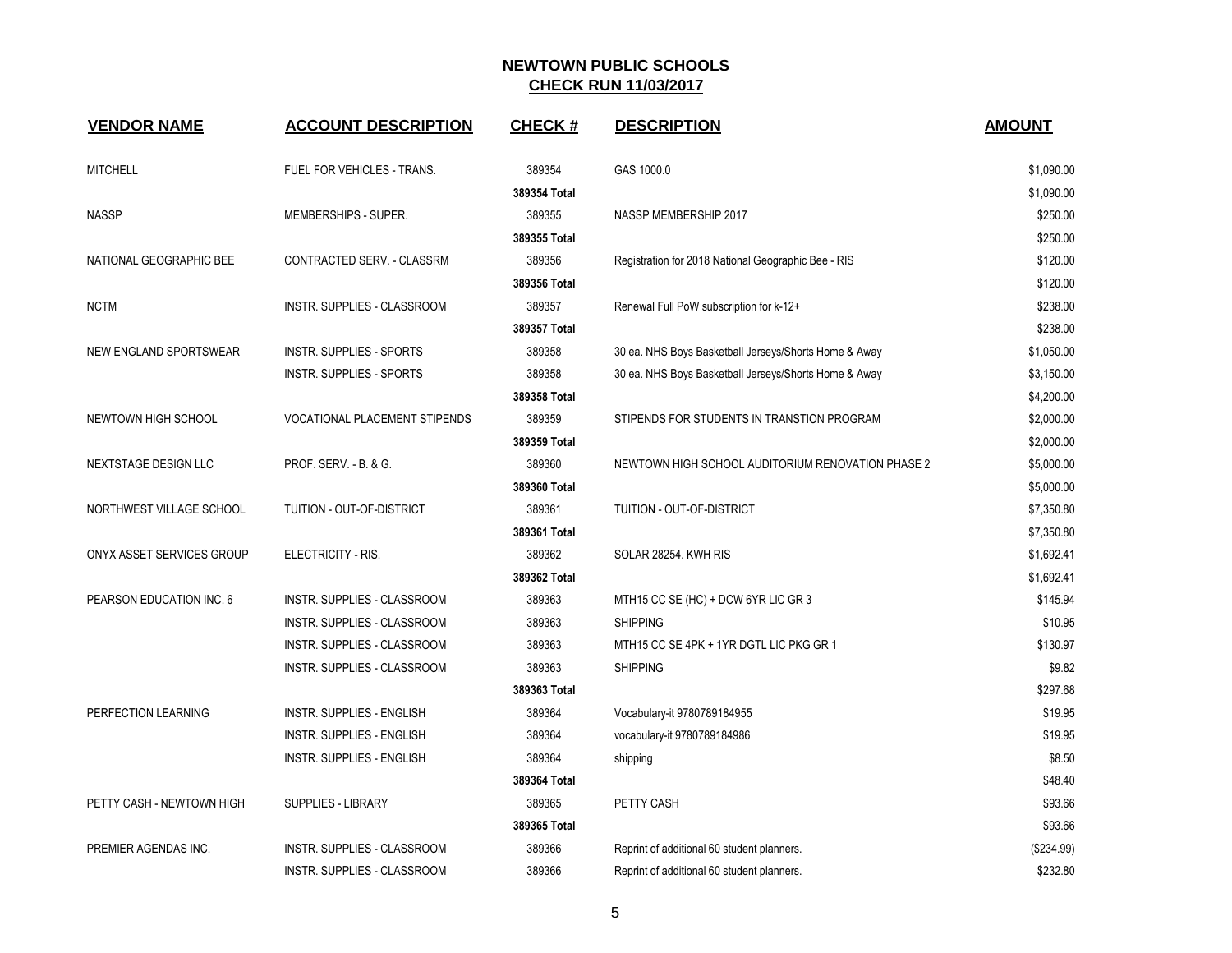| <b>VENDOR NAME</b>        | <b>ACCOUNT DESCRIPTION</b>       | <b>CHECK#</b> | <b>DESCRIPTION</b>                                    | <b>AMOUNT</b> |
|---------------------------|----------------------------------|---------------|-------------------------------------------------------|---------------|
| <b>MITCHELL</b>           | FUEL FOR VEHICLES - TRANS.       | 389354        | GAS 1000.0                                            | \$1,090.00    |
|                           |                                  | 389354 Total  |                                                       | \$1,090.00    |
| <b>NASSP</b>              | MEMBERSHIPS - SUPER.             | 389355        | NASSP MEMBERSHIP 2017                                 | \$250.00      |
|                           |                                  | 389355 Total  |                                                       | \$250.00      |
| NATIONAL GEOGRAPHIC BEE   | CONTRACTED SERV. - CLASSRM       | 389356        | Registration for 2018 National Geographic Bee - RIS   | \$120.00      |
|                           |                                  | 389356 Total  |                                                       | \$120.00      |
| <b>NCTM</b>               | INSTR. SUPPLIES - CLASSROOM      | 389357        | Renewal Full PoW subscription for k-12+               | \$238.00      |
|                           |                                  | 389357 Total  |                                                       | \$238.00      |
| NEW ENGLAND SPORTSWEAR    | INSTR. SUPPLIES - SPORTS         | 389358        | 30 ea. NHS Boys Basketball Jerseys/Shorts Home & Away | \$1,050.00    |
|                           | <b>INSTR. SUPPLIES - SPORTS</b>  | 389358        | 30 ea. NHS Boys Basketball Jerseys/Shorts Home & Away | \$3,150.00    |
|                           |                                  | 389358 Total  |                                                       | \$4,200.00    |
| NEWTOWN HIGH SCHOOL       | VOCATIONAL PLACEMENT STIPENDS    | 389359        | STIPENDS FOR STUDENTS IN TRANSTION PROGRAM            | \$2,000.00    |
|                           |                                  | 389359 Total  |                                                       | \$2,000.00    |
| NEXTSTAGE DESIGN LLC      | PROF. SERV. - B. & G.            | 389360        | NEWTOWN HIGH SCHOOL AUDITORIUM RENOVATION PHASE 2     | \$5,000.00    |
|                           |                                  | 389360 Total  |                                                       | \$5,000.00    |
| NORTHWEST VILLAGE SCHOOL  | TUITION - OUT-OF-DISTRICT        | 389361        | TUITION - OUT-OF-DISTRICT                             | \$7,350.80    |
|                           |                                  | 389361 Total  |                                                       | \$7,350.80    |
| ONYX ASSET SERVICES GROUP | ELECTRICITY - RIS.               | 389362        | SOLAR 28254. KWH RIS                                  | \$1,692.41    |
|                           |                                  | 389362 Total  |                                                       | \$1,692.41    |
| PEARSON EDUCATION INC. 6  | INSTR. SUPPLIES - CLASSROOM      | 389363        | MTH15 CC SE (HC) + DCW 6YR LIC GR 3                   | \$145.94      |
|                           | INSTR. SUPPLIES - CLASSROOM      | 389363        | <b>SHIPPING</b>                                       | \$10.95       |
|                           | INSTR. SUPPLIES - CLASSROOM      | 389363        | MTH15 CC SE 4PK + 1YR DGTL LIC PKG GR 1               | \$130.97      |
|                           | INSTR. SUPPLIES - CLASSROOM      | 389363        | <b>SHIPPING</b>                                       | \$9.82        |
|                           |                                  | 389363 Total  |                                                       | \$297.68      |
| PERFECTION LEARNING       | <b>INSTR. SUPPLIES - ENGLISH</b> | 389364        | Vocabulary-it 9780789184955                           | \$19.95       |
|                           | <b>INSTR. SUPPLIES - ENGLISH</b> | 389364        | vocabulary-it 9780789184986                           | \$19.95       |
|                           | <b>INSTR. SUPPLIES - ENGLISH</b> | 389364        | shipping                                              | \$8.50        |
|                           |                                  | 389364 Total  |                                                       | \$48.40       |
| PETTY CASH - NEWTOWN HIGH | SUPPLIES - LIBRARY               | 389365        | PETTY CASH                                            | \$93.66       |
|                           |                                  | 389365 Total  |                                                       | \$93.66       |
| PREMIER AGENDAS INC.      | INSTR. SUPPLIES - CLASSROOM      | 389366        | Reprint of additional 60 student planners.            | (\$234.99)    |
|                           | INSTR. SUPPLIES - CLASSROOM      | 389366        | Reprint of additional 60 student planners.            | \$232.80      |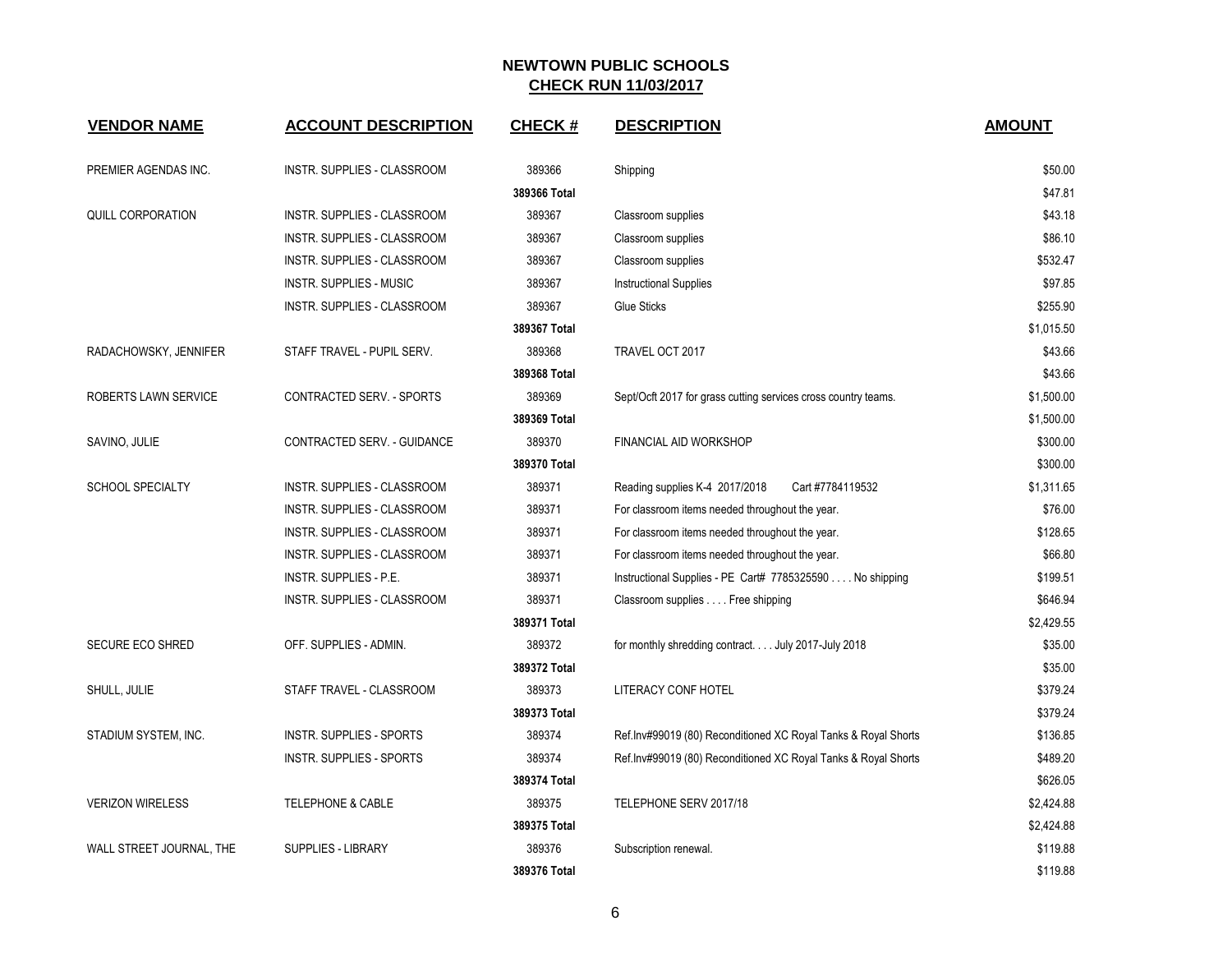| <b>VENDOR NAME</b>       | <b>ACCOUNT DESCRIPTION</b>         | <b>CHECK#</b> | <b>DESCRIPTION</b>                                             | <b>AMOUNT</b> |
|--------------------------|------------------------------------|---------------|----------------------------------------------------------------|---------------|
| PREMIER AGENDAS INC.     | <b>INSTR. SUPPLIES - CLASSROOM</b> | 389366        | Shipping                                                       | \$50.00       |
|                          |                                    | 389366 Total  |                                                                | \$47.81       |
| <b>QUILL CORPORATION</b> | INSTR. SUPPLIES - CLASSROOM        | 389367        | Classroom supplies                                             | \$43.18       |
|                          | INSTR. SUPPLIES - CLASSROOM        | 389367        | Classroom supplies                                             | \$86.10       |
|                          | <b>INSTR. SUPPLIES - CLASSROOM</b> | 389367        | Classroom supplies                                             | \$532.47      |
|                          | <b>INSTR. SUPPLIES - MUSIC</b>     | 389367        | <b>Instructional Supplies</b>                                  | \$97.85       |
|                          | <b>INSTR. SUPPLIES - CLASSROOM</b> | 389367        | Glue Sticks                                                    | \$255.90      |
|                          |                                    | 389367 Total  |                                                                | \$1,015.50    |
| RADACHOWSKY, JENNIFER    | STAFF TRAVEL - PUPIL SERV.         | 389368        | TRAVEL OCT 2017                                                | \$43.66       |
|                          |                                    | 389368 Total  |                                                                | \$43.66       |
| ROBERTS LAWN SERVICE     | CONTRACTED SERV. - SPORTS          | 389369        | Sept/Ocft 2017 for grass cutting services cross country teams. | \$1,500.00    |
|                          |                                    | 389369 Total  |                                                                | \$1,500.00    |
| SAVINO, JULIE            | CONTRACTED SERV. - GUIDANCE        | 389370        | <b>FINANCIAL AID WORKSHOP</b>                                  | \$300.00      |
|                          |                                    | 389370 Total  |                                                                | \$300.00      |
| <b>SCHOOL SPECIALTY</b>  | <b>INSTR. SUPPLIES - CLASSROOM</b> | 389371        | Cart #7784119532<br>Reading supplies K-4 2017/2018             | \$1,311.65    |
|                          | INSTR. SUPPLIES - CLASSROOM        | 389371        | For classroom items needed throughout the year.                | \$76.00       |
|                          | INSTR. SUPPLIES - CLASSROOM        | 389371        | For classroom items needed throughout the year.                | \$128.65      |
|                          | <b>INSTR. SUPPLIES - CLASSROOM</b> | 389371        | For classroom items needed throughout the year.                | \$66.80       |
|                          | <b>INSTR. SUPPLIES - P.E.</b>      | 389371        | Instructional Supplies - PE Cart# 7785325590 No shipping       | \$199.51      |
|                          | INSTR. SUPPLIES - CLASSROOM        | 389371        | Classroom supplies Free shipping                               | \$646.94      |
|                          |                                    | 389371 Total  |                                                                | \$2,429.55    |
| <b>SECURE ECO SHRED</b>  | OFF. SUPPLIES - ADMIN.             | 389372        | for monthly shredding contract. July 2017-July 2018            | \$35.00       |
|                          |                                    | 389372 Total  |                                                                | \$35.00       |
| SHULL, JULIE             | STAFF TRAVEL - CLASSROOM           | 389373        | LITERACY CONF HOTEL                                            | \$379.24      |
|                          |                                    | 389373 Total  |                                                                | \$379.24      |
| STADIUM SYSTEM, INC.     | <b>INSTR. SUPPLIES - SPORTS</b>    | 389374        | Ref.Inv#99019 (80) Reconditioned XC Royal Tanks & Royal Shorts | \$136.85      |
|                          | INSTR. SUPPLIES - SPORTS           | 389374        | Ref.Inv#99019 (80) Reconditioned XC Royal Tanks & Royal Shorts | \$489.20      |
|                          |                                    | 389374 Total  |                                                                | \$626.05      |
| <b>VERIZON WIRELESS</b>  | <b>TELEPHONE &amp; CABLE</b>       | 389375        | TELEPHONE SERV 2017/18                                         | \$2,424.88    |
|                          |                                    | 389375 Total  |                                                                | \$2,424.88    |
| WALL STREET JOURNAL, THE | <b>SUPPLIES - LIBRARY</b>          | 389376        | Subscription renewal.                                          | \$119.88      |
|                          |                                    | 389376 Total  |                                                                | \$119.88      |